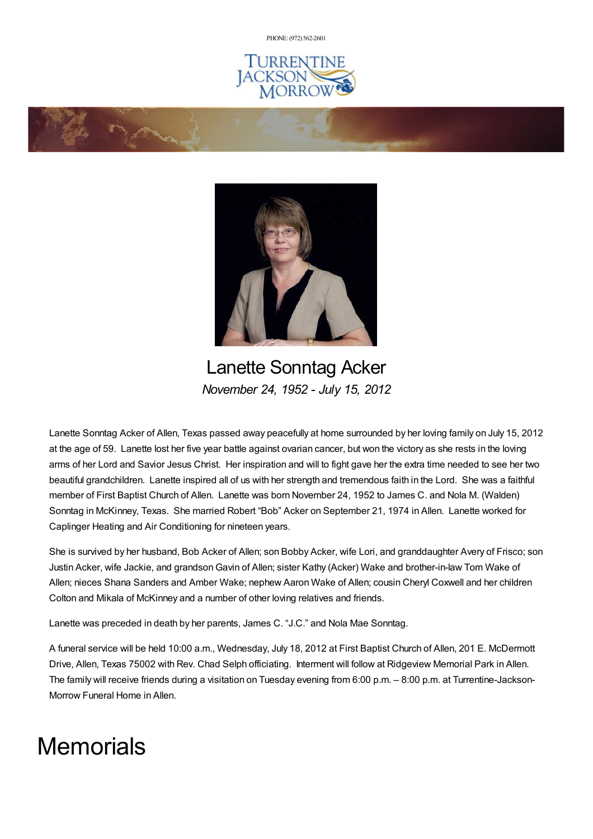PHONE: (972) [562-2601](tel:(972) 562-2601)







Lanette Sonntag Acker *November 24, 1952 - July 15, 2012*

Lanette Sonntag Acker of Allen, Texas passed away peacefully at home surrounded by her loving family on July 15, 2012 at the age of 59. Lanette lost her five year battle against ovarian cancer, but won the victory as she rests in the loving arms of her Lord and Savior Jesus Christ. Her inspiration and will to fight gave her the extra time needed to see her two beautiful grandchildren. Lanette inspired all of us with her strength and tremendous faith in the Lord. She was a faithful member of First Baptist Church of Allen. Lanette was born November 24, 1952 to James C. and Nola M. (Walden) Sonntag in McKinney, Texas. She married Robert "Bob" Acker on September 21, 1974 in Allen. Lanette worked for Caplinger Heating and Air Conditioning for nineteen years.

She is survived by her husband, Bob Acker of Allen; son Bobby Acker, wife Lori, and granddaughter Avery of Frisco; son Justin Acker, wife Jackie, and grandsonGavin of Allen; sister Kathy (Acker) Wake and brother-in-law Tom Wake of Allen; nieces Shana Sanders and Amber Wake; nephew Aaron Wake of Allen; cousin Cheryl Coxwell and her children Colton and Mikala of McKinney and a number of other loving relatives and friends.

Lanette was preceded in death by her parents, James C. "J.C." and Nola Mae Sonntag.

A funeral service will be held 10:00 a.m., Wednesday, July 18, 2012 at First Baptist Church of Allen, 201 E. McDermott Drive, Allen, Texas 75002 with Rev. Chad Selph officiating. Interment will follow at Ridgeview Memorial Park in Allen. The family will receive friends during a visitation on Tuesday evening from 6:00 p.m. – 8:00 p.m. at Turrentine-Jackson-Morrow Funeral Home in Allen.

## **Memorials**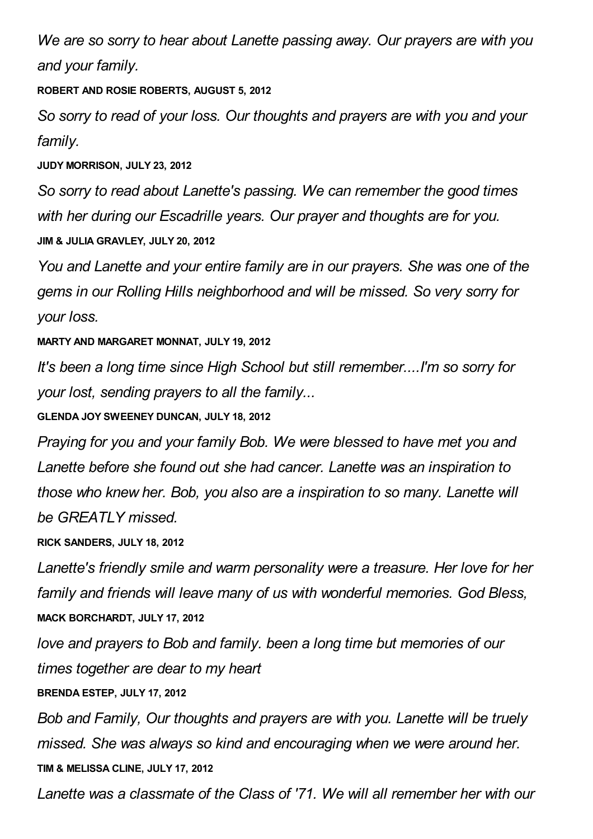*We are so sorry to hear about Lanette passing away. Our prayers are with you and your family.*

**ROBERT AND ROSIE ROBERTS, AUGUST 5, 2012**

*So sorry to read of your loss. Our thoughts and prayers are with you and your family.*

**JUDY MORRISON, JULY 23, 2012**

*So sorry to read about Lanette's passing. We can remember the good times with her during our Escadrille years. Our prayer and thoughts are for you.* **JIM & JULIA GRAVLEY, JULY 20, 2012**

*You and Lanette and your entire family are in our prayers. She was one of the gems in our Rolling Hills neighborhood and will be missed. So very sorry for your loss.*

**MARTY AND MARGARET MONNAT, JULY 19, 2012**

*It's been a long time since High School but still remember....I'm so sorry for your lost, sending prayers to all the family...*

**GLENDA JOY SWEENEY DUNCAN, JULY 18, 2012**

*Praying for you and your family Bob. We were blessed to have met you and Lanette before she found out she had cancer. Lanette was an inspiration to those who knew her. Bob, you also are a inspiration to so many. Lanette will be GREATLY missed.*

**RICK SANDERS, JULY 18, 2012**

*Lanette's friendly smile and warm personality were a treasure. Her love for her family and friends will leave many of us with wonderful memories. God Bless,* **MACK BORCHARDT, JULY 17, 2012**

*love and prayers to Bob and family. been a long time but memories of our times together are dear to my heart*

**BRENDA ESTEP, JULY 17, 2012**

*Bob and Family, Our thoughts and prayers are with you. Lanette will be truely missed. She was always so kind and encouraging when we were around her.* **TIM & MELISSA CLINE, JULY 17, 2012**

*Lanette was a classmate of the Class of '71. We will all remember her with our*